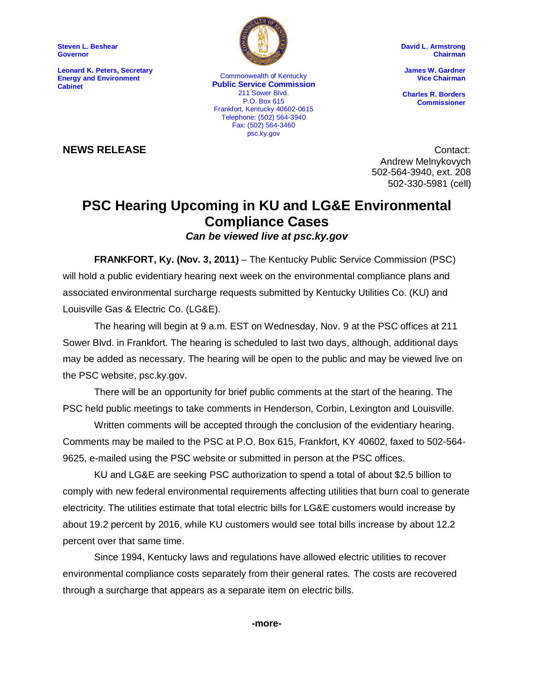**Steven L. Beshear Governor**

**Leonard K. Peters, Secretary Energy and Environment Cabinet**



P.O. Box 615 Commonwealth of Kentucky **Public Service Commission** 211 Sower Blvd. Frankfort, Kentucky 40602-0615 Telephone: (502) 564-3940 Fax: (502) 564-3460 psc.ky.gov

**David L. Armstrong Chairman**

**James W. Gardner Vice Chairman**

**Charles R. Borders Commissioner**

**NEWS RELEASE** Contact: Andrew Melnykovych 502-564-3940, ext. 208 502-330-5981 (cell)

## **PSC Hearing Upcoming in KU and LG&E Environmental Compliance Cases**

*Can be viewed live at psc.ky.gov*

**FRANKFORT, Ky. (Nov. 3, 2011)** – The Kentucky Public Service Commission (PSC) will hold a public evidentiary hearing next week on the environmental compliance plans and associated environmental surcharge requests submitted by Kentucky Utilities Co. (KU) and Louisville Gas & Electric Co. (LG&E).

The hearing will begin at 9 a.m. EST on Wednesday, Nov. 9 at the PSC offices at 211 Sower Blvd. in Frankfort. The hearing is scheduled to last two days, although, additional days may be added as necessary. The hearing will be open to the public and may be viewed live on the PSC website, psc.ky.gov.

There will be an opportunity for brief public comments at the start of the hearing. The PSC held public meetings to take comments in Henderson, Corbin, Lexington and Louisville.

Written comments will be accepted through the conclusion of the evidentiary hearing. Comments may be mailed to the PSC at P.O. Box 615, Frankfort, KY 40602, faxed to 502-564- 9625, e-mailed using the PSC website or submitted in person at the PSC offices.

KU and LG&E are seeking PSC authorization to spend a total of about \$2.5 billion to comply with new federal environmental requirements affecting utilities that burn coal to generate electricity. The utilities estimate that total electric bills for LG&E customers would increase by about 19.2 percent by 2016, while KU customers would see total bills increase by about 12.2 percent over that same time.

Since 1994, Kentucky laws and regulations have allowed electric utilities to recover environmental compliance costs separately from their general rates. The costs are recovered through a surcharge that appears as a separate item on electric bills.

**-more-**